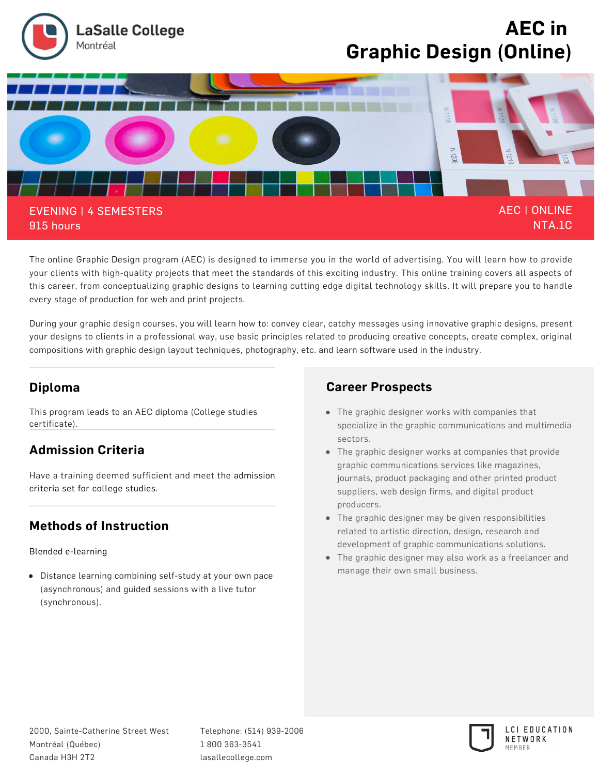

**The online Graphic Design program (AEC) is designed to immerse you in the world of advertising. You will learn how to provide your clients with high-quality projects that meet the standards of this exciting industry. This online training covers all aspects of this career, from conceptualizing graphic designs to learning cutting edge digital technology skills. It will prepare you to handle every stage of production for web and print projects.**

**During your graphic design courses, you will learn how to: convey clear, catchy messages using innovative graphic designs, present your designs to clients in a professional way, use basic principles related to producing creative concepts, create complex, original compositions with graphic design layout techniques, photography, etc. and learn software used in the industry.**

## **Diploma**

**This program leads to an AEC diploma (College studies certificate).**

### **Admission Criteria**

**[Have a training deemed sufficient and meet the admission](https://www.lasallecollege.com/futur-students/admission/reglement-admission) criteria set for college studies.**

# **Methods of Instruction**

**[Blended e-learning](https://www.lasallecollege.com/futur-students/methods-instruction)**

**Distance learning combining self-study at your own pace (asynchronous) and guided sessions with a live tutor (synchronous).**

## **Career Prospects**

- **The graphic designer works with companies that specialize in the graphic communications and multimedia sectors.**
- **The graphic designer works at companies that provide graphic communications services like magazines, journals, product packaging and other printed product suppliers, web design firms, and digital product producers.**
- **The graphic designer may be given responsibilities related to artistic direction, design, research and development of graphic communications solutions.**
- **The graphic designer may also work as a freelancer and manage their own small business.**

**Telephone: (514) 939-2006 1 800 363-3541 lasallecollege.com**